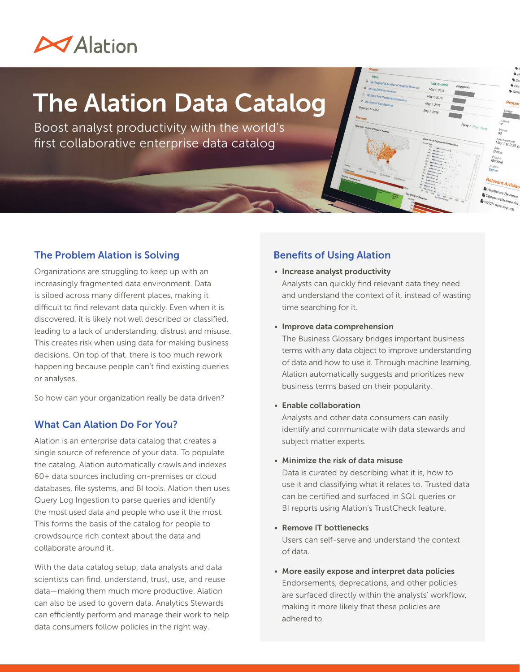### **MAlation**

# The Alation Data Catalog

Boost analyst productivity with the world's first collaborative enterprise data catalog

#### The Problem Alation is Solving

Organizations are struggling to keep up with an increasingly fragmented data environment. Data is siloed across many different places, making it difficult to find relevant data quickly. Even when it is discovered, it is likely not well described or classified, leading to a lack of understanding, distrust and misuse. This creates risk when using data for making business decisions. On top of that, there is too much rework happening because people can't find existing queries or analyses.

So how can your organization really be data driven?

#### What Can Alation Do For You?

Alation is an enterprise data catalog that creates a single source of reference of your data. To populate the catalog, Alation automatically crawls and indexes 60+ data sources including on-premises or cloud databases, file systems, and BI tools. Alation then uses Query Log Ingestion to parse queries and identify the most used data and people who use it the most. This forms the basis of the catalog for people to crowdsource rich context about the data and collaborate around it.

With the data catalog setup, data analysts and data scientists can find, understand, trust, use, and reuse data—making them much more productive. Alation can also be used to govern data. Analytics Stewards can efficiently perform and manage their work to help data consumers follow policies in the right way.

#### Benefits of Using Alation

- Increase analyst productivity Analysts can quickly find relevant data they need and understand the context of it, instead of wasting time searching for it.
- Improve data comprehension

The Business Glossary bridges important business terms with any data object to improve understanding of data and how to use it. Through machine learning, Alation automatically suggests and prioritizes new business terms based on their popularity.

• Enable collaboration

Analysts and other data consumers can easily identify and communicate with data stewards and subject matter experts.

• Minimize the risk of data misuse

Data is curated by describing what it is, how to use it and classifying what it relates to. Trusted data can be certified and surfaced in SQL queries or BI reports using Alation's TrustCheck feature.

• Remove IT bottlenecks

Users can self-serve and understand the context of data.

• More easily expose and interpret data policies Endorsements, deprecations, and other policies are surfaced directly within the analysts' workflow, making it more likely that these policies are adhered to.